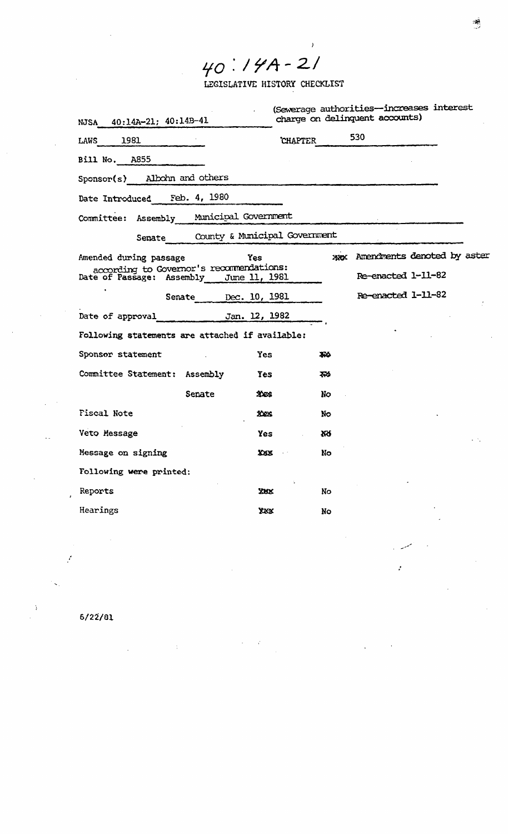$40.79A - 21$ 

LEGISLATIVE HISTORY CHECKLIST

 $\bar{y}$ 

| NJSA 40:14A-21; 40:14B-41                                                 | (Sewerage authorities-increases interest<br>charge on delinquent accounts) |
|---------------------------------------------------------------------------|----------------------------------------------------------------------------|
| LAWS 1981                                                                 | 530<br><b>CHAPTER</b>                                                      |
| Bill No. A855                                                             |                                                                            |
| Sponsor(s) Albohn and others                                              |                                                                            |
| Date Introduced Feb. 4, 1980                                              |                                                                            |
| Committee: Assembly Municipal Government                                  |                                                                            |
| Senate County & Municipal Government                                      |                                                                            |
| Amended during passage<br>Yes<br>according to Governor's recommendations: | was Amendments denoted by aster                                            |
| Date of Passage: Assembly June 11, 1981                                   | Re-enacted 1-11-82                                                         |
| Senate Dec. 10, 1981                                                      | Re-enacted 1-11-82                                                         |
| Date of approval Jan. 12, 1982                                            |                                                                            |
| Following statements are attached if available:                           |                                                                            |
| Sponsor statement<br>Yes                                                  | <b>AX</b>                                                                  |
| Committee Statement: Assembly<br><b>Yes</b>                               | ফ≽                                                                         |
| Senate<br>32425                                                           | No                                                                         |
| Fiscal Note<br>XXXX                                                       | No                                                                         |
| Veto Message<br>Yes                                                       | XX                                                                         |
| Message on signing<br>XXXX                                                | No.                                                                        |
| Following were printed:                                                   |                                                                            |
| Reports<br>XXX.                                                           | No                                                                         |
| Hearings<br>XXX                                                           | Nο                                                                         |
|                                                                           |                                                                            |

:

 $6/22/81$ 

f,

 $\ddot{\phantom{1}}$ 

 $\sim$ t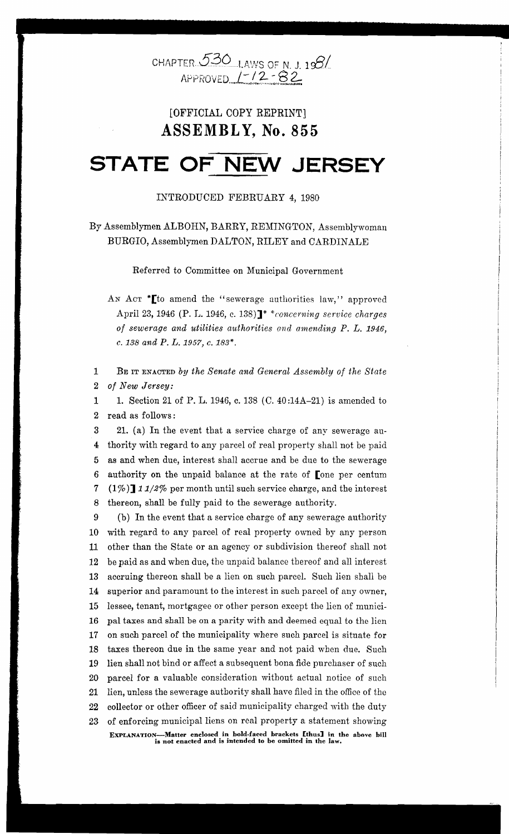

### [OFFICIAL COpy REPRINT] **ASSEMBL Y, No. 855**

## **STATE OF NEW JERSEY**

#### INTRODUCED FEBRUARY 4, 1980

By Assemblymen ALBORN, BARRY, REMINGTON, Assemblywoman BURGIO, Assemblymen DALTON, RILEY and CARDINALE

Referred to Committee on Municipal Government

AN ACT \* [to amend the "sewerage authorities law," approved April 23, 1946 (P. L. 1946, c. 138)]\* *\*concerning service charges of sewerage and utilities authorities and amending P. L. 1946,*  c. 138 *and P. L.* 1957, c. 183\*.

1 BE IT ENACTED *by the Senate and General Assembly of the State 2 of New Jersey:* 

2 read as follows: 1 1. Section 21 of P. L. 1946, c. 138 (C. 40:14A-21) is amended to

i I

I I t

*i* 

I I  $\mathbf{I}$ 

I  $\vdash$ I I  $\overline{\phantom{a}}$ ! I

6 authority on the unpaid balance at the rate of Lone per centum  $\begin{bmatrix} 1\% \end{bmatrix}$  11/2% per month until such service charge, and the interest<br>8. thereon, shall be fully paid to the sewerage authority 3 21. (a) In the event that a service charge of any sewerage au-4 thority with regard to any parcel of real property shall not be paid 5 as and when due, interest shall accrue and be due to the sewerage 8 thereon, shall be fully paid to the sewerage authority.

9 (b) In the event that a service charge of any sewerage authority 10 with regard to any parcel of real property owned by any person 11 other than the State or an agency or subdivision thereof shall not 12 be paid as and when due, the unpaid balance thereof and all interest 13 accruing thereon shall be a lien on such parcel. Such lien shall be 14 superior and paramount to the interest in such parcel of any owner, 15 lessee, tenant, mortgagee or other person except the lien of munici-16 pal taxes and shall be on a parity with and deemed equal to the lien 17 on such parcel of the municipality where such parcel is situate for 18 taxes thereon due in the same year and not paid when due. Such 19 lien shall not bind or affect a subsequent bona fide purchaser of such 20 parcel for a valuable consideration without actual notice of such 21 lien, unless the sewerage authority shall have filed in the office of the 22 collector or other officer of said municipality charged with the duty 23 of enforcing municipal liens on real property a statement showing EXPLANATION-Matter enclosed in bold·faced brackets £thus] in the above bill is not enacted and is intended to be omitted in the law.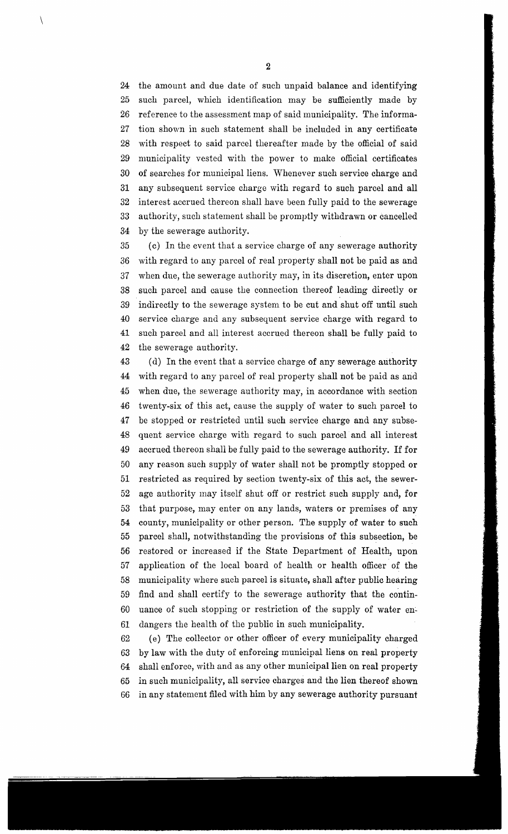24 the amount and due date of such unpaid balance and identifying 25 such parcel, which identification may be sufficiently made by 26 reference to the assessment map of said municipality. The informa-27 tion shown in such statement shall be included in any certificate 28 with respect to said parcel thereafter made by the official of said 29 municipality vested with the power to make official certificates 30 of searches for municipal liens. Whenever such service charge and 31 any subsequent service charge with regard to such parcel and all 32 interest accrued thereon shall have been fully paid to the sewerage 33 authority, such statement shall be promptly withdrawn or cancelled 34 by the sewerage authority.

35 (c) In the event that a service charge of any sewerage authority 36 with regard to any parcel of real property shall not be paid as and 37 when due, the sewerage authority may, in its discretion, enter upon 38 such parcel and cause the connection thereof leading directly or 39 indirectly to the sewerage system to be cut and shut off until such 40 service charge and any subsequent service charge with regard to 41 such parcel and all interest accrued thereon shall be fully paid to 42 the sewerage authority.

43 (d) In the event that a service charge of any sewerage authority 44 with regard to any parcel of real property shall not be paid as and 45 when due, the sewerage authority may, in accordance with section 46 twenty-six of this act, cause the supply of water to such parcel to 47 be stopped or restricted until such service charge and any subse-48 quent service charge with regard to such parcel and all interest 49 accrued thereon shall be fully paid to the sewerage authority. If for 50 any reason such supply of water shall not be promptly stopped or 51 restricted as required by section twenty-six of this act, the sewer-52 age authority may itself shut off or restrict such supply and, for 53 that purpose, may enter on any lands, waters or premises of any 54 county, municipality or other person. The supply of water to such 55 parcel shall, notwithstanding the provisions of this subsection, be 56 restored or increased if the State Department of Health, upon 57 application of the local board of health or health officer of the 58 municipality where such parcel is situate, shall after public hearing 59 find and shall certify to the sewerage authority that the contin-60 uance of such stopping or restriction of the supply of water en~ 61 dangers the health of the public in such municipality.

62 (e) The collector or other officer of every municipality charged 63 by law with the duty of enforcing municipal liens on real property 64 shall enforce, with and as any other municipal lien on real property 65 in such municipality, all service charges and the lien thereof shown 66 in any statement filed with him by any sewerage authority pursuant

 $\setminus$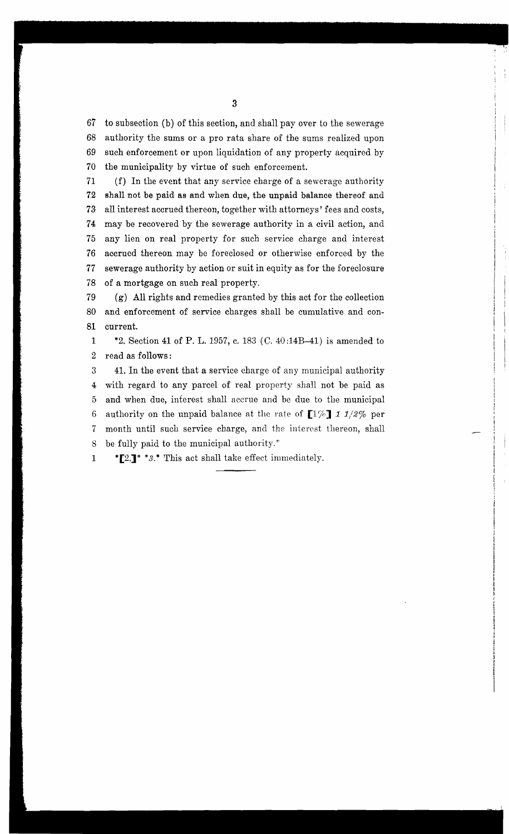67 to subsection (b) of this section, and shall pay over to the sewerage 68 authority the sums or a pro rata share of the sums realized upon 69 such enforcement or upon liquidation of any property acquired by 70 the municipality by virtue of such enforcement.

71 (f) In the event that any service charge of a sewerage authority 72 shall not be paid as and when due, the unpaid balance thereof and 73 all interest accrued thereon, together with attorneys' fees and costs, 74 may be recovered by the sewerage authority in a civil action, and 75 any lien on real property for such service charge and interest 76 accrued thereon may be foreclosed or otherwise enforced by the 77 sewerage authority by action or suit in equity as for the foreclosure 78 of a mortgage on such real property.

! i ! 1 I I i I i I

79 (g) All rights and remedies granted by this act for the collection 80 and enforcement of service charges shall be cumulative and con-81 current.

1 \*2. Section 41 of P. L. 1957, c. 183 (C. 40 :14B-41) is amended to 2 read as follows:

3 41. In the event that a service charge of any municipal authority 4 with regard to any parcel of real property shall not be paid as 5 and when due, interest shall accrue and be due to the municipal 6 authority on the unpaid balance at the rate of *[170]* 1 1/2% per 7 month until such service charge, and the interest thereon, shall 8 be fully paid to the municipal authority.\*

1 \*  $[2.]\cdot$  \* 3.\* This act shall take effect immediately.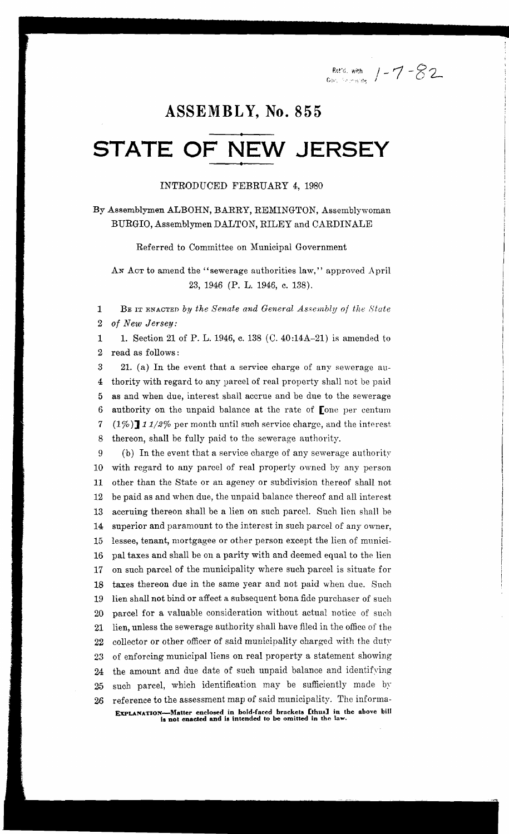I /-1-82

### **ASSEMBL Y, No. 855**

### **STATE OF NEW JERSEY •**

#### INTRODUCED FEBRUARY 4, 1980

By Assemblymen ALBORN, BARRY, REMINGTON, Assemblywoman BURGIO, Assemblymen DALTON, RILEY and OARDINALE

Referred to Oommittee on Municipal Government

AN ACT to amend the "sewerage authorities law," approved April 23, 1946 (P. L. 1946, c. 138).

1 BE IT ENACTED by the Senate and General Assembly of the State 2 *of New Jersey:* 

1 1. Section 21 of P. L. 1946, c. 138 (C. 40:14A-21) is amended to 2 read as follows:

3 21. (a) In the event that a service charge of any sewerage au-4 thority with regard to any parcel of real property shall not be paid 5 as and when due, interest shall accrue and be due to the sewerage 6 authority on the unpaid balance at the rate of [one per centum 7 (1%) 11/2% per month until such service charge, and the interest 8 thereon, shall be fully paid to the sewerage authority.

9 (b) In the event that a service charge of any sewerage authority 10 with regard to any parcel of real property owned by any person 11 other than the State or an agency or subdivision thereof shall not 12 be paid as and when due, the unpaid balance thereof and all interest 13 accruing thereon shall be a lien on such parcel. Such lien shall be 14 superior and paramount to the interest in such parcel of any owner, 15 lessee, tenant, mortgagee or other person except the lien of munici-16 pal taxes and shall be on a parity with and deemed equal to the lien 17 on such parcel of the municipality where such parcel is situate for 18 taxes thereon due in the same year and not paid when due. Such 19 lien shall not bind or affect a subsequent bona fide purchaser of such 20 parcel for a valuable consideration without actual notice of such 21 lien, unless the sewerage authority shall have filed in the office of the 22 collector or other officer of said municipality charged with the duty 23 of enforcing municipal liens on real property a statement showing 24 the amount and due date of such unpaid balance and identifying 25 such parcel, which identification may be sufficiently made by 26 reference to the assessment map of said municipality. The informa-ExPLANATION-Matter enclosed in bold-faced brackets [thus] in the above bill ia not enacted and ia intended 10 be omitted In the law.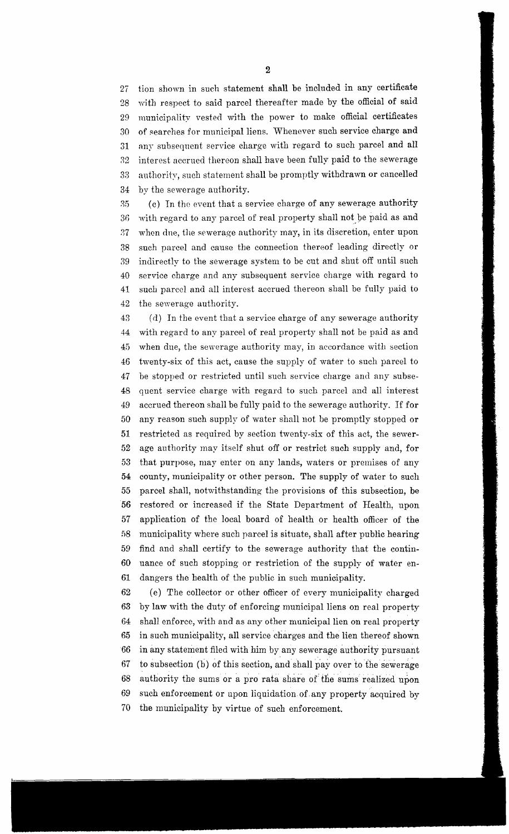27 tion shown in such statement shall be included in any certificate 28 wi th respeet to said pareel thereafter made by the offieial of said 29 municipality vested with the power to make official certificates 30 of searches for municipal liens. Whenever such service charge and 31 nny subsequent service charge with regard to such parcel and all :12 interest aecrued thereon shall have been fully paid to the sewerage 33 authority, such statement shall be promptly withdrawn or cancelled 34 by the sewerage authority.

:15 (c) Tn tho event that a service eharge of any sewerage authority 36 with regard to any parcel of real property shall not be paid as and 07 when dne, the sewerage authority may, in its discretion, enter upon 38 such pareel and cause the connection thereof leading directly or 39 indirectly to the sewerage system to be cut and shut off until such 40 service charge and any subsequent service charge with regard to 41 such parcel and all interest accrued thereon shall be fully paid to 42 the sewerage authority.

43 (d) In the event that a service charge of any sewerage authority 44 with regard to any parcel of real property shall not be paid as and 45 when due, the sewerage authority may, in accordance with section 46 twenty-six of this act, cause the supply of water to such parcel to 47 be stopped or restricted until such service charge and any subse-48 quent service charge with regard to such parcel and all interest 49 accrued thereon shall be fully paid to the sewerage authority. If for 50 any reason such supply of water shall not be promptly stopped or 51 restricted as required by section twenty-six of this act, the sewer-52 age authority may itself shut off or restrict such supply and, for 53 that purpose, may enter on any lands, waters or premises of any 54 county, municipality or other person. The supply of water to such 55 parcel shall, notwithstanding the provisions of this subsection, be 56 restored or increased if the State Department of Health, upon 57 application of the local board of health or health officer of the fi8 municipality where such parcel is situate, shall after public hearing 59 find and shall certify to the sewerage authority that the contin-60 uance of such stopping or restriction of the supply of water en-61 dangers the health of the public in such municipality.

62 (e) The collector or other officer of every municipality charged 63 by law with the duty of enforcing municipal liens on real property 64 shall enforce, with and as any other municipal lien on real property 65 in such municipality, all service charges and the lien thereof shown 66 in any statement filed with him by any sewerage authority pursuant 67 to subsection (b) of this section, and shall pay over to the sewerage 68 authority the sums or a pro rata share of the sums realized upon 69 such enforcement or upon liquidation of. any property acquired by 70 the municipality by virtue of such enforcement.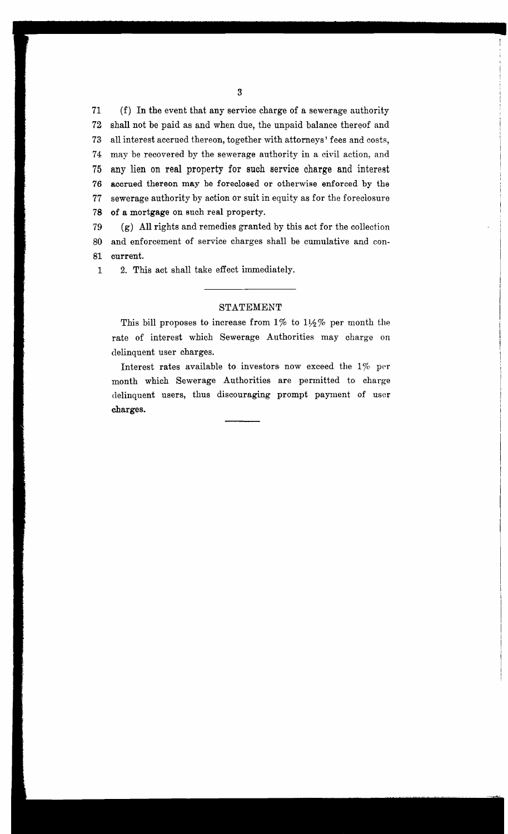71 (f) In the event that any service charge of a sewerage authority 72 shall not be paid as and when due, the unpaid balance thereof and 73 all interest accrued thereon, together with attorneys' fees and costs, 74 may be recovered by the sewerage authority in a civil action, and 75 any lien on real property for such service charge and interest 76 accrued thereon may be foreclosed or otherwise enforced by the 77 sewerage authority by action or suit in equity as for the foreclosure 78 of a mortgage on such real property.

79 (g) All rights and remedies granted by this act for the collection 80 and enforcement of service charges shall be cumulative and con-81 current.

1 2. This act shall take effect immediately.

#### STATEMENT

This bill proposes to increase from  $1\%$  to  $1\frac{1}{2}\%$  per month the rate of interest which Sewerage Authorities may charge on delinquent user charges.

Interest rates available to investors now exceed the *170* per month which Sewerage Authorities are permitted to charge delinquent users, thus discouraging prompt payment of user charges.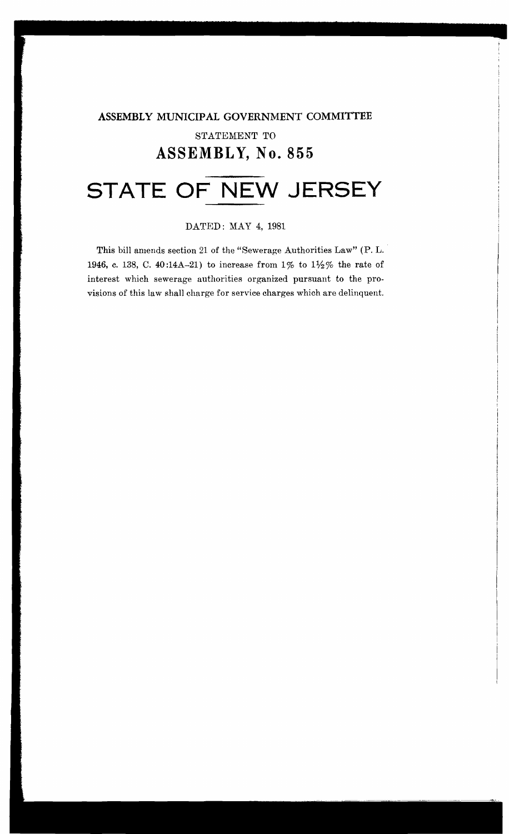### **ASSEMBLY MUNICIPAL GOVERNMENT COMMITTEE** STATEMENT TO **ASSEMBL Y, No. 855**

# **STATE OF NEW JERSEY**

#### DATED: MAY 4,1981

This bill amends section 21 of the "Sewerage Authorities Law" (P. L.. 1946, c. 138, C. 40 :14A-21) to increase from 1% to 11*12* % the rate of interest which sewerage authorities organized pursuant to the provisions of this law shall charge for service charges which are delinquent.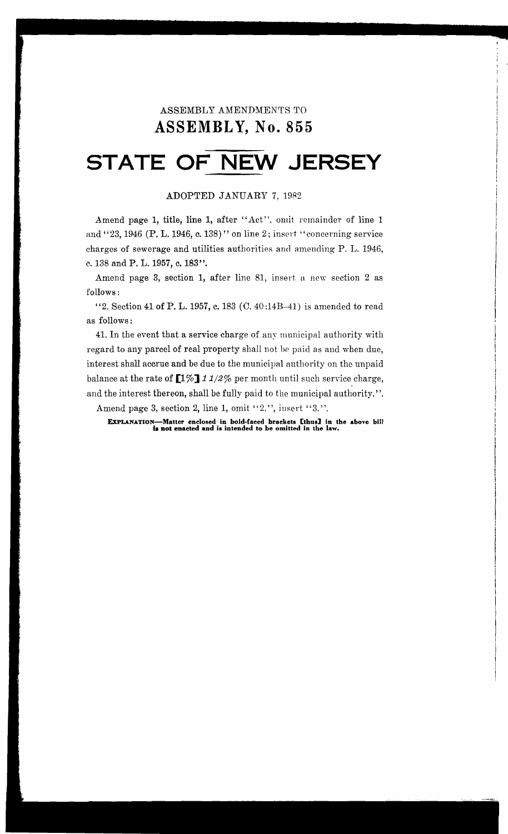### ASSEMBLY AMENDMENTS TO ASSEMBLY, No. 855

# **STATE OF NEW JERSEY**

#### ADOPTED JANUARY 7,1982

Amend page 1, title, line 1, after "Act", omit remainder of line 1 and "23, 1946 (P. L. 1946, c. 138)" on line 2; insert "concerning service charges of sewerage and utilities authorities and amending P. L. 1946, c. 138 and P. L. 1957, c. 183".

Amend page 3, section 1, after line 81, insert a new section 2 as follows:

"2. Section 41 of P. L. 1957, c. 183  $(C.40:14B-41)$  is amended to read as follows:

41. In the event that a service charge of any municipal authority with regard to any parcel of real property shall not be paid as and when due, interest shall accrue and be due to the municipal authority on the unpaid balance at the rate of  $\llbracket 1\%\rrbracket$  11/2% per month until such service charge, and the interest thereon, shall be fully paid to the municipal authority. ".

Amend page 3, section 2, line 1, omit " $2.'$ ", insert " $3.''.$ 

EXPLANATION-Matter enclosed in bold-faced brackets [thus] in the above bill is not enacted and is intended to be omitted in the law.